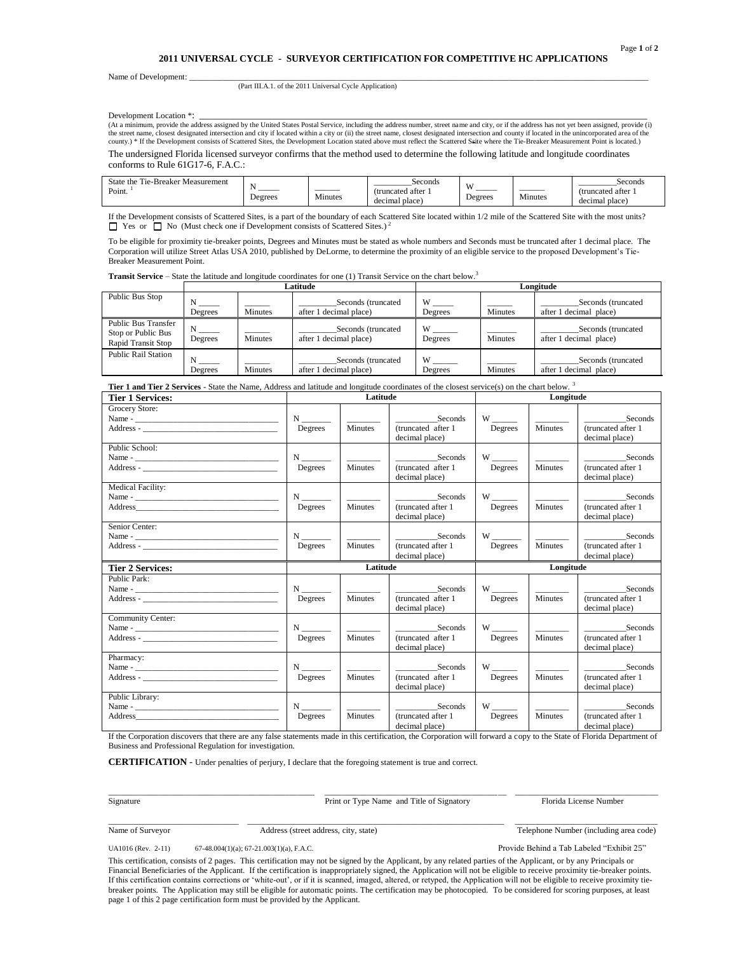## **2011 UNIVERSAL CYCLE - SURVEYOR CERTIFICATION FOR COMPETITIVE HC APPLICATIONS**

Name of Development:

(Part III.A.1. of the 2011 Universal Cycle Application)

Development Location \*:<br>(At a minimum, provide the address assigned by the United States Postal Service, including the address number, street name and city, or if the address has not yet been assigned, provide (i) the street name, closest designated intersection and city if located within a city or (ii) the street name, closest designated intersection and county if located in the unincorporated area of the county.) \* If the Development consists of Scattered Sites, the Development Location stated above must reflect the Scattered Ssite where the Tie-Breaker Measurement Point is located.) The undersigned Florida licensed surveyor confirms that the method used to determine the following latitude and longitude coordinates conforms to Rule 61G17-6, F.A.C.:

| $\sim$<br>State the<br>-Breaker Measurement<br>1 1 e- |         |                                | seconds           | W       |         | Seconds          |
|-------------------------------------------------------|---------|--------------------------------|-------------------|---------|---------|------------------|
| Point.                                                | _______ | ______<br>$\sim$ $\sim$ $\sim$ | (truncated after) |         |         | (truncated after |
|                                                       | Degrees | Minutes                        | decimal place     | Degrees | Minutes | decimal place.   |

If the Development consists of Scattered Sites, is a part of the boundary of each Scattered Site located within 1/2 mile of the Scattered Site with the most units?  $\Box$  Yes or  $\Box$  No (Must check one if Development consists of Scattered Sites.)

To be eligible for proximity tie-breaker points, Degrees and Minutes must be stated as whole numbers and Seconds must be truncated after 1 decimal place. The Corporation will utilize Street Atlas USA 2010, published by DeLorme, to determine the proximity of an eligible service to the proposed Development"s Tie-Breaker Measurement Point.

**Transit Service** – State the latitude and longitude coordinates for one (1) Transit Service on the chart below.<sup>3</sup>

|                                                                        | Latitude     |                |                                              | Longitude                                |         |                                              |  |
|------------------------------------------------------------------------|--------------|----------------|----------------------------------------------|------------------------------------------|---------|----------------------------------------------|--|
| Public Bus Stop                                                        | N<br>Degrees | <b>Minutes</b> | Seconds (truncated<br>after 1 decimal place) | W<br>Degrees                             | Minutes | Seconds (truncated<br>after 1 decimal place) |  |
| <b>Public Bus Transfer</b><br>Stop or Public Bus<br>Rapid Transit Stop | N<br>Degrees | Minutes        | Seconds (truncated<br>after 1 decimal place) | W<br>Degrees                             | Minutes | Seconds (truncated<br>after 1 decimal place) |  |
| <b>Public Rail Station</b>                                             | Degrees      | Minutes        | Seconds (truncated<br>after 1 decimal place) | $\overline{W}$ $\overline{W}$<br>Degrees | Minutes | Seconds (truncated<br>after 1 decimal place) |  |

**Tier 1 and Tier 2 Services** - State the Name, Address and latitude and longitude coordinates of the closest service(s) on the chart below. <sup>3</sup>

| <b>Tier 1 Services:</b>     | Latitude                           |                |                                                  | Longitude                 |                |                                                 |
|-----------------------------|------------------------------------|----------------|--------------------------------------------------|---------------------------|----------------|-------------------------------------------------|
| Grocery Store:<br>Address - | Degrees                            | Minutes        | Seconds<br>(truncated after 1<br>decimal place)  | $W \_$<br>Degrees         | <b>Minutes</b> | Seconds<br>(truncated after 1<br>decimal place) |
| Public School:              | $N$ <sub>________</sub><br>Degrees | <b>Minutes</b> | Seconds<br>(truncated after 1)<br>decimal place) | Degrees                   | <b>Minutes</b> | Seconds<br>(truncated after 1<br>decimal place) |
| <b>Medical Facility:</b>    | $N \sim$<br>Degrees                | Minutes        | Seconds<br>(truncated after 1<br>decimal place)  | Degrees                   | Minutes        | Seconds<br>(truncated after 1<br>decimal place) |
| Senior Center:              | Degrees                            | Minutes        | Seconds<br>(truncated after 1<br>decimal place)  | $W \_$<br>Degrees         | Minutes        | Seconds<br>(truncated after 1<br>decimal place) |
|                             | Latitude                           |                |                                                  | Longitude                 |                |                                                 |
| <b>Tier 2 Services:</b>     |                                    |                |                                                  |                           |                |                                                 |
| Public Park:                | $N \qquad \qquad$<br>Degrees       | Minutes        | Seconds<br>(truncated after 1)<br>decimal place) | W<br>Degrees              | <b>Minutes</b> | Seconds<br>(truncated after 1<br>decimal place) |
| Community Center:           | $N \qquad \qquad$<br>Degrees       | Minutes        | Seconds<br>(truncated after 1<br>decimal place)  | Degrees                   | <b>Minutes</b> | Seconds<br>(truncated after 1<br>decimal place) |
| Pharmacy:                   | $N \sim$<br>Degrees                | <b>Minutes</b> | Seconds<br>(truncated after 1<br>decimal place)  | W <sub>1</sub><br>Degrees | Minutes        | Seconds<br>(truncated after 1<br>decimal place) |

If the Corporation discovers that there are any false statements made in this certification, the Corporation will forward a copy to the State of Florida Department of Business and Professional Regulation for investigation.

**CERTIFICATION** - Under penalties of perjury, I declare that the foregoing statement is true and correct.

\_\_\_\_\_\_\_\_\_\_\_\_\_\_\_\_\_\_\_\_\_\_\_\_\_\_\_\_\_\_\_\_\_\_\_\_\_\_\_\_\_\_\_\_\_\_\_\_\_ \_\_\_\_\_\_\_\_\_\_\_\_\_\_\_\_\_\_\_\_\_\_\_\_\_\_\_\_\_\_\_\_\_\_\_\_\_\_\_\_\_\_\_ \_\_\_\_\_\_\_\_\_\_\_\_\_\_\_\_\_\_\_\_\_\_\_\_\_\_\_\_\_\_\_\_\_\_ Signature **Print or Type Name and Title of Signatory Print or Type Name and Title of Signatory Florida License Number** 

\_\_\_\_\_\_\_\_\_\_\_\_\_\_\_\_\_\_\_\_\_\_\_\_\_\_\_\_\_\_\_ \_\_\_\_\_\_\_\_\_\_\_\_\_\_\_\_\_\_\_\_\_\_\_\_\_\_\_\_\_\_\_\_\_\_\_\_\_\_\_\_\_\_\_\_\_\_\_\_\_\_\_\_\_\_\_\_\_\_\_\_\_ \_\_\_\_\_\_\_\_\_\_\_\_\_\_\_\_\_\_\_\_\_\_\_\_\_\_\_\_\_\_\_\_\_\_

Name of Surveyor Address (street address, city, state) Telephone Number (including area code)

UA1016 (Rev. 2-11) 67-48.004(1)(a); 67-21.003(1)(a), F.A.C. Provide Behind a Tab Labeled "Exhibit 25"

This certification, consists of 2 pages. This certification may not be signed by the Applicant, by any related parties of the Applicant, or by any Principals or Financial Beneficiaries of the Applicant. If the certification is inappropriately signed, the Application will not be eligible to receive proximity tie-breaker points. If this certification contains corrections or "white-out", or if it is scanned, imaged, altered, or retyped, the Application will not be eligible to receive proximity tiebreaker points. The Application may still be eligible for automatic points. The certification may be photocopied. To be considered for scoring purposes, at least page 1 of this 2 page certification form must be provided by the Applicant.